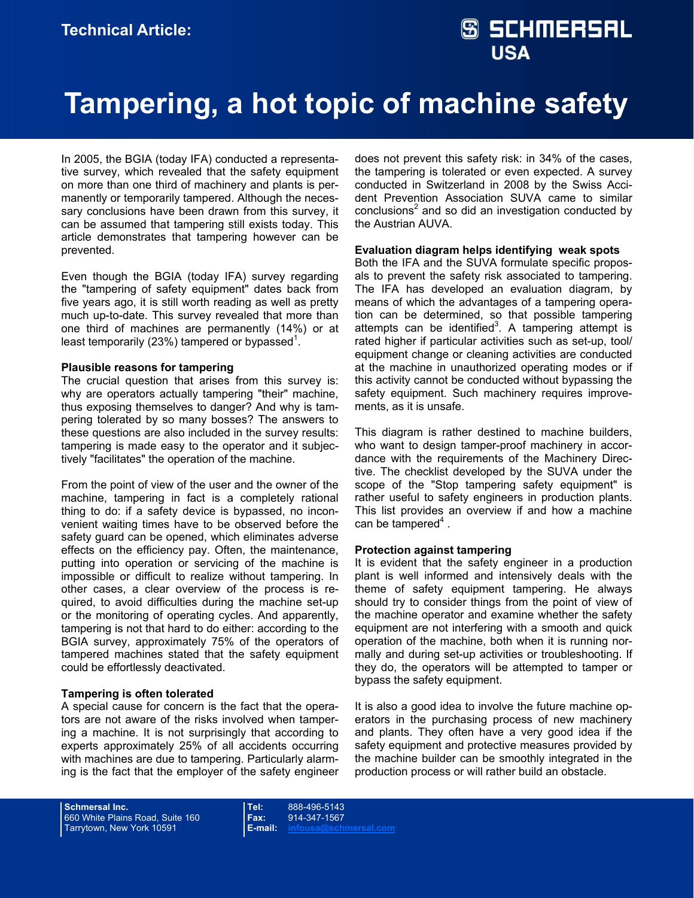## **S SCHMERSAL USA**

# **Tampering, a hot topic of machine safety**

In 2005, the BGIA (today IFA) conducted a representative survey, which revealed that the safety equipment on more than one third of machinery and plants is permanently or temporarily tampered. Although the necessary conclusions have been drawn from this survey, it can be assumed that tampering still exists today. This article demonstrates that tampering however can be prevented.

Even though the BGIA (today IFA) survey regarding the "tampering of safety equipment" dates back from five years ago, it is still worth reading as well as pretty much up-to-date. This survey revealed that more than one third of machines are permanently (14%) or at least temporarily (23%) tampered or bypassed<sup>1</sup>.

### **Plausible reasons for tampering**

The crucial question that arises from this survey is: why are operators actually tampering "their" machine, thus exposing themselves to danger? And why is tampering tolerated by so many bosses? The answers to these questions are also included in the survey results: tampering is made easy to the operator and it subjectively "facilitates" the operation of the machine.

From the point of view of the user and the owner of the machine, tampering in fact is a completely rational thing to do: if a safety device is bypassed, no inconvenient waiting times have to be observed before the safety guard can be opened, which eliminates adverse effects on the efficiency pay. Often, the maintenance, putting into operation or servicing of the machine is impossible or difficult to realize without tampering. In other cases, a clear overview of the process is required, to avoid difficulties during the machine set-up or the monitoring of operating cycles. And apparently, tampering is not that hard to do either: according to the BGIA survey, approximately 75% of the operators of tampered machines stated that the safety equipment could be effortlessly deactivated.

### **Tampering is often tolerated**

A special cause for concern is the fact that the operators are not aware of the risks involved when tampering a machine. It is not surprisingly that according to experts approximately 25% of all accidents occurring with machines are due to tampering. Particularly alarming is the fact that the employer of the safety engineer does not prevent this safety risk: in 34% of the cases, the tampering is tolerated or even expected. A survey conducted in Switzerland in 2008 by the Swiss Accident Prevention Association SUVA came to similar conclusions<sup>2</sup> and so did an investigation conducted by the Austrian AUVA.

### **Evaluation diagram helps identifying weak spots**

Both the IFA and the SUVA formulate specific proposals to prevent the safety risk associated to tampering. The IFA has developed an evaluation diagram, by means of which the advantages of a tampering operation can be determined, so that possible tampering attempts can be identified<sup>3</sup>. A tampering attempt is rated higher if particular activities such as set-up, tool/ equipment change or cleaning activities are conducted at the machine in unauthorized operating modes or if this activity cannot be conducted without bypassing the safety equipment. Such machinery requires improvements, as it is unsafe.

This diagram is rather destined to machine builders, who want to design tamper-proof machinery in accordance with the requirements of the Machinery Directive. The checklist developed by the SUVA under the scope of the "Stop tampering safety equipment" is rather useful to safety engineers in production plants. This list provides an overview if and how a machine can be tampered $4$ .

### **Protection against tampering**

It is evident that the safety engineer in a production plant is well informed and intensively deals with the theme of safety equipment tampering. He always should try to consider things from the point of view of the machine operator and examine whether the safety equipment are not interfering with a smooth and quick operation of the machine, both when it is running normally and during set-up activities or troubleshooting. If they do, the operators will be attempted to tamper or bypass the safety equipment.

It is also a good idea to involve the future machine operators in the purchasing process of new machinery and plants. They often have a very good idea if the safety equipment and protective measures provided by the machine builder can be smoothly integrated in the production process or will rather build an obstacle.

**Schmersal Inc.**  660 White Plains Road, Suite 160 Tarrytown, New York 10591

**Tel:** 888-496-5143 **Fax:** 914-347-1567 **E-mail: infousa@schmersal.com**